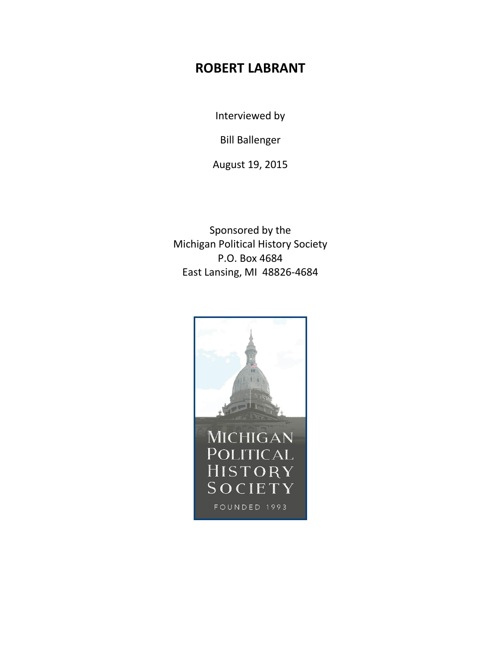# **ROBERT LABRANT**

Interviewed by

Bill Ballenger

August 19, 2015

Sponsored by the Michigan Political History Society P.O. Box 4684 East Lansing, MI 48826-4684

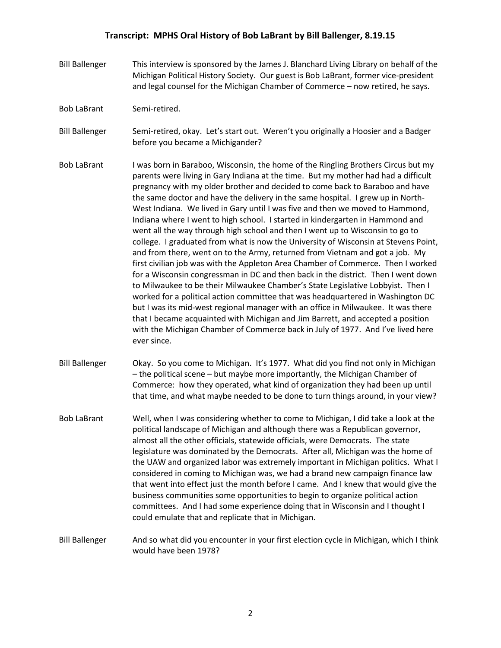- Bill Ballenger This interview is sponsored by the James J. Blanchard Living Library on behalf of the Michigan Political History Society. Our guest is Bob LaBrant, former vice-president and legal counsel for the Michigan Chamber of Commerce – now retired, he says.
- Bob LaBrant Semi-retired.

Bill Ballenger Semi-retired, okay. Let's start out. Weren't you originally a Hoosier and a Badger before you became a Michigander?

Bob LaBrant I was born in Baraboo, Wisconsin, the home of the Ringling Brothers Circus but my parents were living in Gary Indiana at the time. But my mother had had a difficult pregnancy with my older brother and decided to come back to Baraboo and have the same doctor and have the delivery in the same hospital. I grew up in North-West Indiana. We lived in Gary until I was five and then we moved to Hammond, Indiana where I went to high school. I started in kindergarten in Hammond and went all the way through high school and then I went up to Wisconsin to go to college. I graduated from what is now the University of Wisconsin at Stevens Point, and from there, went on to the Army, returned from Vietnam and got a job. My first civilian job was with the Appleton Area Chamber of Commerce. Then I worked for a Wisconsin congressman in DC and then back in the district. Then I went down to Milwaukee to be their Milwaukee Chamber's State Legislative Lobbyist. Then I worked for a political action committee that was headquartered in Washington DC but I was its mid-west regional manager with an office in Milwaukee. It was there that I became acquainted with Michigan and Jim Barrett, and accepted a position with the Michigan Chamber of Commerce back in July of 1977. And I've lived here ever since.

- Bill Ballenger Okay. So you come to Michigan. It's 1977. What did you find not only in Michigan – the political scene – but maybe more importantly, the Michigan Chamber of Commerce: how they operated, what kind of organization they had been up until that time, and what maybe needed to be done to turn things around, in your view?
- Bob LaBrant Well, when I was considering whether to come to Michigan, I did take a look at the political landscape of Michigan and although there was a Republican governor, almost all the other officials, statewide officials, were Democrats. The state legislature was dominated by the Democrats. After all, Michigan was the home of the UAW and organized labor was extremely important in Michigan politics. What I considered in coming to Michigan was, we had a brand new campaign finance law that went into effect just the month before I came. And I knew that would give the business communities some opportunities to begin to organize political action committees. And I had some experience doing that in Wisconsin and I thought I could emulate that and replicate that in Michigan.
- Bill Ballenger And so what did you encounter in your first election cycle in Michigan, which I think would have been 1978?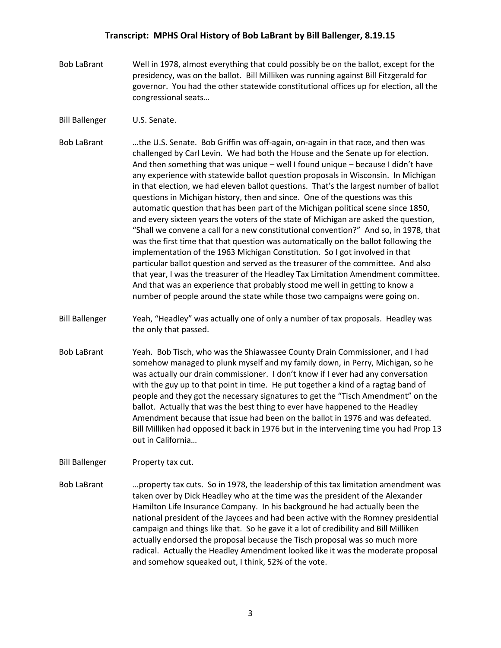- Bob LaBrant Well in 1978, almost everything that could possibly be on the ballot, except for the presidency, was on the ballot. Bill Milliken was running against Bill Fitzgerald for governor. You had the other statewide constitutional offices up for election, all the congressional seats…
- Bill Ballenger U.S. Senate.

Bob LaBrant …the U.S. Senate. Bob Griffin was off-again, on-again in that race, and then was challenged by Carl Levin. We had both the House and the Senate up for election. And then something that was unique – well I found unique – because I didn't have any experience with statewide ballot question proposals in Wisconsin. In Michigan in that election, we had eleven ballot questions. That's the largest number of ballot questions in Michigan history, then and since. One of the questions was this automatic question that has been part of the Michigan political scene since 1850, and every sixteen years the voters of the state of Michigan are asked the question, "Shall we convene a call for a new constitutional convention?" And so, in 1978, that was the first time that that question was automatically on the ballot following the implementation of the 1963 Michigan Constitution. So I got involved in that particular ballot question and served as the treasurer of the committee. And also that year, I was the treasurer of the Headley Tax Limitation Amendment committee. And that was an experience that probably stood me well in getting to know a number of people around the state while those two campaigns were going on.

- Bill Ballenger Yeah, "Headley" was actually one of only a number of tax proposals. Headley was the only that passed.
- Bob LaBrant Yeah. Bob Tisch, who was the Shiawassee County Drain Commissioner, and I had somehow managed to plunk myself and my family down, in Perry, Michigan, so he was actually our drain commissioner. I don't know if I ever had any conversation with the guy up to that point in time. He put together a kind of a ragtag band of people and they got the necessary signatures to get the "Tisch Amendment" on the ballot. Actually that was the best thing to ever have happened to the Headley Amendment because that issue had been on the ballot in 1976 and was defeated. Bill Milliken had opposed it back in 1976 but in the intervening time you had Prop 13 out in California…

Bill Ballenger Property tax cut.

Bob LaBrant …property tax cuts. So in 1978, the leadership of this tax limitation amendment was taken over by Dick Headley who at the time was the president of the Alexander Hamilton Life Insurance Company. In his background he had actually been the national president of the Jaycees and had been active with the Romney presidential campaign and things like that. So he gave it a lot of credibility and Bill Milliken actually endorsed the proposal because the Tisch proposal was so much more radical. Actually the Headley Amendment looked like it was the moderate proposal and somehow squeaked out, I think, 52% of the vote.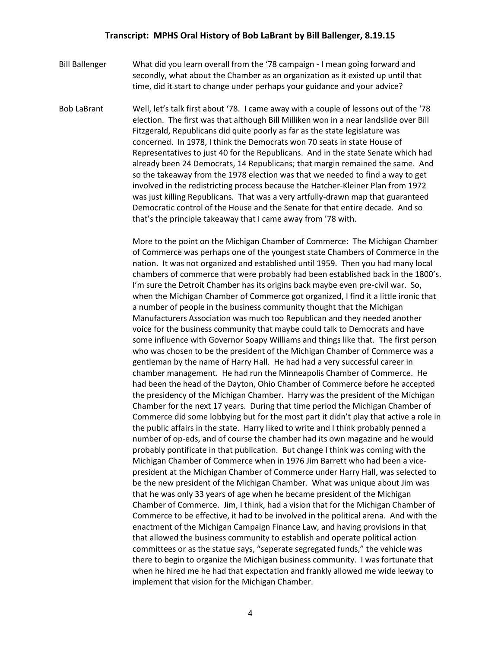Bill Ballenger What did you learn overall from the '78 campaign - I mean going forward and secondly, what about the Chamber as an organization as it existed up until that time, did it start to change under perhaps your guidance and your advice?

Bob LaBrant Well, let's talk first about '78. I came away with a couple of lessons out of the '78 election. The first was that although Bill Milliken won in a near landslide over Bill Fitzgerald, Republicans did quite poorly as far as the state legislature was concerned. In 1978, I think the Democrats won 70 seats in state House of Representatives to just 40 for the Republicans. And in the state Senate which had already been 24 Democrats, 14 Republicans; that margin remained the same. And so the takeaway from the 1978 election was that we needed to find a way to get involved in the redistricting process because the Hatcher-Kleiner Plan from 1972 was just killing Republicans. That was a very artfully-drawn map that guaranteed Democratic control of the House and the Senate for that entire decade. And so that's the principle takeaway that I came away from '78 with.

> More to the point on the Michigan Chamber of Commerce: The Michigan Chamber of Commerce was perhaps one of the youngest state Chambers of Commerce in the nation. It was not organized and established until 1959. Then you had many local chambers of commerce that were probably had been established back in the 1800's. I'm sure the Detroit Chamber has its origins back maybe even pre-civil war. So, when the Michigan Chamber of Commerce got organized, I find it a little ironic that a number of people in the business community thought that the Michigan Manufacturers Association was much too Republican and they needed another voice for the business community that maybe could talk to Democrats and have some influence with Governor Soapy Williams and things like that. The first person who was chosen to be the president of the Michigan Chamber of Commerce was a gentleman by the name of Harry Hall. He had had a very successful career in chamber management. He had run the Minneapolis Chamber of Commerce. He had been the head of the Dayton, Ohio Chamber of Commerce before he accepted the presidency of the Michigan Chamber. Harry was the president of the Michigan Chamber for the next 17 years. During that time period the Michigan Chamber of Commerce did some lobbying but for the most part it didn't play that active a role in the public affairs in the state. Harry liked to write and I think probably penned a number of op-eds, and of course the chamber had its own magazine and he would probably pontificate in that publication. But change I think was coming with the Michigan Chamber of Commerce when in 1976 Jim Barrett who had been a vicepresident at the Michigan Chamber of Commerce under Harry Hall, was selected to be the new president of the Michigan Chamber. What was unique about Jim was that he was only 33 years of age when he became president of the Michigan Chamber of Commerce. Jim, I think, had a vision that for the Michigan Chamber of Commerce to be effective, it had to be involved in the political arena. And with the enactment of the Michigan Campaign Finance Law, and having provisions in that that allowed the business community to establish and operate political action committees or as the statue says, "seperate segregated funds," the vehicle was there to begin to organize the Michigan business community. I was fortunate that when he hired me he had that expectation and frankly allowed me wide leeway to implement that vision for the Michigan Chamber.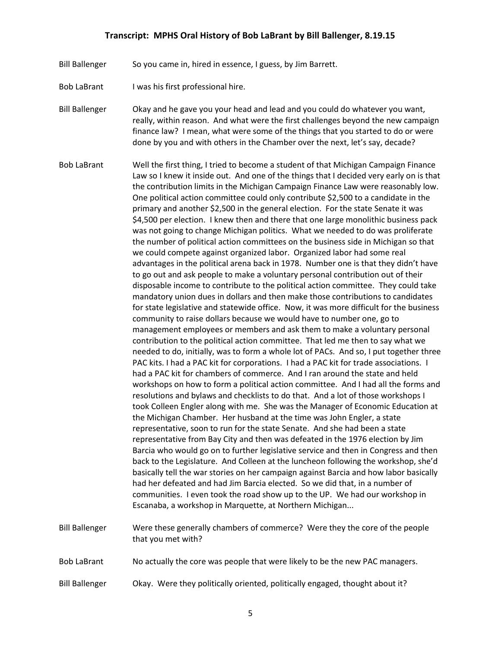Bill Ballenger So you came in, hired in essence, I guess, by Jim Barrett.

- Bob LaBrant I was his first professional hire.
- Bill Ballenger Okay and he gave you your head and lead and you could do whatever you want, really, within reason. And what were the first challenges beyond the new campaign finance law? I mean, what were some of the things that you started to do or were done by you and with others in the Chamber over the next, let's say, decade?
- Bob LaBrant Well the first thing, I tried to become a student of that Michigan Campaign Finance Law so I knew it inside out. And one of the things that I decided very early on is that the contribution limits in the Michigan Campaign Finance Law were reasonably low. One political action committee could only contribute \$2,500 to a candidate in the primary and another \$2,500 in the general election. For the state Senate it was \$4,500 per election. I knew then and there that one large monolithic business pack was not going to change Michigan politics. What we needed to do was proliferate the number of political action committees on the business side in Michigan so that we could compete against organized labor. Organized labor had some real advantages in the political arena back in 1978. Number one is that they didn't have to go out and ask people to make a voluntary personal contribution out of their disposable income to contribute to the political action committee. They could take mandatory union dues in dollars and then make those contributions to candidates for state legislative and statewide office. Now, it was more difficult for the business community to raise dollars because we would have to number one, go to management employees or members and ask them to make a voluntary personal contribution to the political action committee. That led me then to say what we needed to do, initially, was to form a whole lot of PACs. And so, I put together three PAC kits. I had a PAC kit for corporations. I had a PAC kit for trade associations. I had a PAC kit for chambers of commerce. And I ran around the state and held workshops on how to form a political action committee. And I had all the forms and resolutions and bylaws and checklists to do that. And a lot of those workshops I took Colleen Engler along with me. She was the Manager of Economic Education at the Michigan Chamber. Her husband at the time was John Engler, a state representative, soon to run for the state Senate. And she had been a state representative from Bay City and then was defeated in the 1976 election by Jim Barcia who would go on to further legislative service and then in Congress and then back to the Legislature. And Colleen at the luncheon following the workshop, she'd basically tell the war stories on her campaign against Barcia and how labor basically had her defeated and had Jim Barcia elected. So we did that, in a number of communities. I even took the road show up to the UP. We had our workshop in Escanaba, a workshop in Marquette, at Northern Michigan...

Bill Ballenger Were these generally chambers of commerce? Were they the core of the people that you met with?

- Bob LaBrant No actually the core was people that were likely to be the new PAC managers.
- Bill Ballenger Okay. Were they politically oriented, politically engaged, thought about it?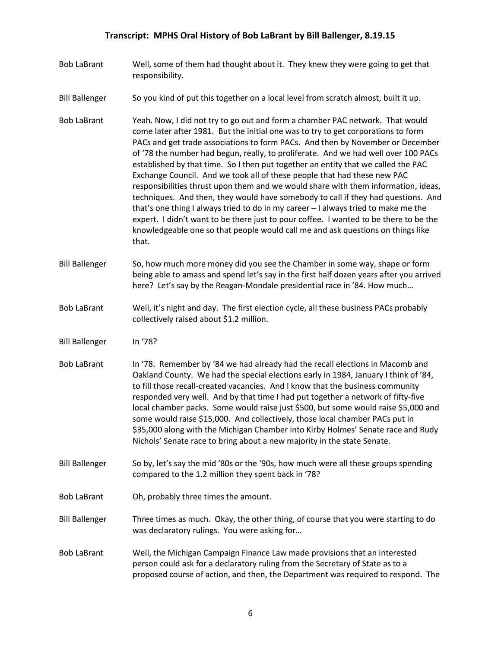- Bob LaBrant Well, some of them had thought about it. They knew they were going to get that responsibility.
- Bill Ballenger So you kind of put this together on a local level from scratch almost, built it up.
- Bob LaBrant Yeah. Now, I did not try to go out and form a chamber PAC network. That would come later after 1981. But the initial one was to try to get corporations to form PACs and get trade associations to form PACs. And then by November or December of '78 the number had begun, really, to proliferate. And we had well over 100 PACs established by that time. So I then put together an entity that we called the PAC Exchange Council. And we took all of these people that had these new PAC responsibilities thrust upon them and we would share with them information, ideas, techniques. And then, they would have somebody to call if they had questions. And that's one thing I always tried to do in my career – I always tried to make me the expert. I didn't want to be there just to pour coffee. I wanted to be there to be the knowledgeable one so that people would call me and ask questions on things like that.
- Bill Ballenger So, how much more money did you see the Chamber in some way, shape or form being able to amass and spend let's say in the first half dozen years after you arrived here? Let's say by the Reagan-Mondale presidential race in '84. How much…
- Bob LaBrant Well, it's night and day. The first election cycle, all these business PACs probably collectively raised about \$1.2 million.
- Bill Ballenger In '78?
- Bob LaBrant In '78. Remember by '84 we had already had the recall elections in Macomb and Oakland County. We had the special elections early in 1984, January I think of '84, to fill those recall-created vacancies. And I know that the business community responded very well. And by that time I had put together a network of fifty-five local chamber packs. Some would raise just \$500, but some would raise \$5,000 and some would raise \$15,000. And collectively, those local chamber PACs put in \$35,000 along with the Michigan Chamber into Kirby Holmes' Senate race and Rudy Nichols' Senate race to bring about a new majority in the state Senate.
- Bill Ballenger So by, let's say the mid '80s or the '90s, how much were all these groups spending compared to the 1.2 million they spent back in '78?
- Bob LaBrant Oh, probably three times the amount.
- Bill Ballenger Three times as much. Okay, the other thing, of course that you were starting to do was declaratory rulings. You were asking for…
- Bob LaBrant Well, the Michigan Campaign Finance Law made provisions that an interested person could ask for a declaratory ruling from the Secretary of State as to a proposed course of action, and then, the Department was required to respond. The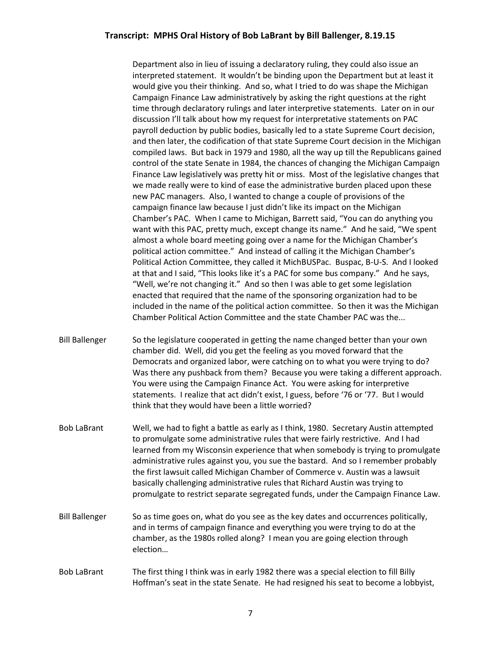Department also in lieu of issuing a declaratory ruling, they could also issue an interpreted statement. It wouldn't be binding upon the Department but at least it would give you their thinking. And so, what I tried to do was shape the Michigan Campaign Finance Law administratively by asking the right questions at the right time through declaratory rulings and later interpretive statements. Later on in our discussion I'll talk about how my request for interpretative statements on PAC payroll deduction by public bodies, basically led to a state Supreme Court decision, and then later, the codification of that state Supreme Court decision in the Michigan compiled laws. But back in 1979 and 1980, all the way up till the Republicans gained control of the state Senate in 1984, the chances of changing the Michigan Campaign Finance Law legislatively was pretty hit or miss. Most of the legislative changes that we made really were to kind of ease the administrative burden placed upon these new PAC managers. Also, I wanted to change a couple of provisions of the campaign finance law because I just didn't like its impact on the Michigan Chamber's PAC. When I came to Michigan, Barrett said, "You can do anything you want with this PAC, pretty much, except change its name." And he said, "We spent almost a whole board meeting going over a name for the Michigan Chamber's political action committee." And instead of calling it the Michigan Chamber's Political Action Committee, they called it MichBUSPac. Buspac, B-U-S. And I looked at that and I said, "This looks like it's a PAC for some bus company." And he says, "Well, we're not changing it." And so then I was able to get some legislation enacted that required that the name of the sponsoring organization had to be included in the name of the political action committee. So then it was the Michigan Chamber Political Action Committee and the state Chamber PAC was the...

- Bill Ballenger So the legislature cooperated in getting the name changed better than your own chamber did. Well, did you get the feeling as you moved forward that the Democrats and organized labor, were catching on to what you were trying to do? Was there any pushback from them? Because you were taking a different approach. You were using the Campaign Finance Act. You were asking for interpretive statements. I realize that act didn't exist, I guess, before '76 or '77. But I would think that they would have been a little worried?
- Bob LaBrant Well, we had to fight a battle as early as I think, 1980. Secretary Austin attempted to promulgate some administrative rules that were fairly restrictive. And I had learned from my Wisconsin experience that when somebody is trying to promulgate administrative rules against you, you sue the bastard. And so I remember probably the first lawsuit called Michigan Chamber of Commerce v. Austin was a lawsuit basically challenging administrative rules that Richard Austin was trying to promulgate to restrict separate segregated funds, under the Campaign Finance Law.
- Bill Ballenger So as time goes on, what do you see as the key dates and occurrences politically, and in terms of campaign finance and everything you were trying to do at the chamber, as the 1980s rolled along? I mean you are going election through election…
- Bob LaBrant The first thing I think was in early 1982 there was a special election to fill Billy Hoffman's seat in the state Senate. He had resigned his seat to become a lobbyist,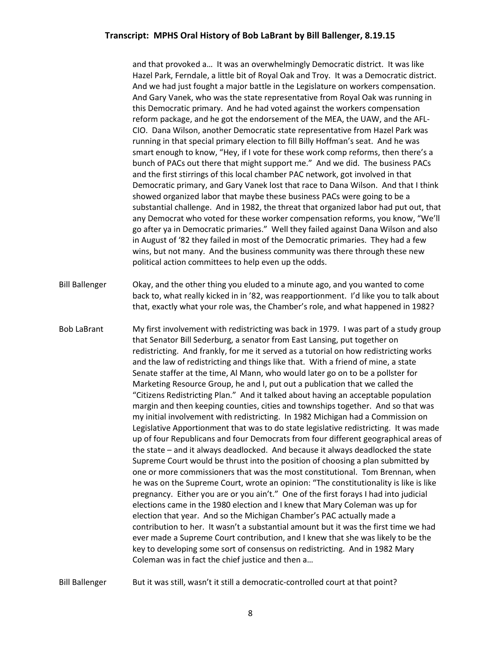and that provoked a… It was an overwhelmingly Democratic district. It was like Hazel Park, Ferndale, a little bit of Royal Oak and Troy. It was a Democratic district. And we had just fought a major battle in the Legislature on workers compensation. And Gary Vanek, who was the state representative from Royal Oak was running in this Democratic primary. And he had voted against the workers compensation reform package, and he got the endorsement of the MEA, the UAW, and the AFL-CIO. Dana Wilson, another Democratic state representative from Hazel Park was running in that special primary election to fill Billy Hoffman's seat. And he was smart enough to know, "Hey, if I vote for these work comp reforms, then there's a bunch of PACs out there that might support me." And we did. The business PACs and the first stirrings of this local chamber PAC network, got involved in that Democratic primary, and Gary Vanek lost that race to Dana Wilson. And that I think showed organized labor that maybe these business PACs were going to be a substantial challenge. And in 1982, the threat that organized labor had put out, that any Democrat who voted for these worker compensation reforms, you know, "We'll go after ya in Democratic primaries." Well they failed against Dana Wilson and also in August of '82 they failed in most of the Democratic primaries. They had a few wins, but not many. And the business community was there through these new political action committees to help even up the odds.

Bill Ballenger Okay, and the other thing you eluded to a minute ago, and you wanted to come back to, what really kicked in in '82, was reapportionment. I'd like you to talk about that, exactly what your role was, the Chamber's role, and what happened in 1982?

Bob LaBrant My first involvement with redistricting was back in 1979. I was part of a study group that Senator Bill Sederburg, a senator from East Lansing, put together on redistricting. And frankly, for me it served as a tutorial on how redistricting works and the law of redistricting and things like that. With a friend of mine, a state Senate staffer at the time, Al Mann, who would later go on to be a pollster for Marketing Resource Group, he and I, put out a publication that we called the "Citizens Redistricting Plan." And it talked about having an acceptable population margin and then keeping counties, cities and townships together. And so that was my initial involvement with redistricting. In 1982 Michigan had a Commission on Legislative Apportionment that was to do state legislative redistricting. It was made up of four Republicans and four Democrats from four different geographical areas of the state – and it always deadlocked. And because it always deadlocked the state Supreme Court would be thrust into the position of choosing a plan submitted by one or more commissioners that was the most constitutional. Tom Brennan, when he was on the Supreme Court, wrote an opinion: "The constitutionality is like is like pregnancy. Either you are or you ain't." One of the first forays I had into judicial elections came in the 1980 election and I knew that Mary Coleman was up for election that year. And so the Michigan Chamber's PAC actually made a contribution to her. It wasn't a substantial amount but it was the first time we had ever made a Supreme Court contribution, and I knew that she was likely to be the key to developing some sort of consensus on redistricting. And in 1982 Mary Coleman was in fact the chief justice and then a…

Bill Ballenger But it was still, wasn't it still a democratic-controlled court at that point?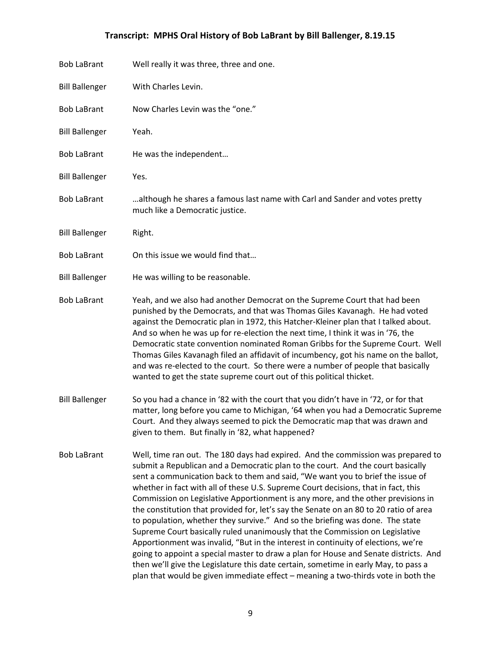| <b>Bob LaBrant</b>    | Well really it was three, three and one.                                                                                                                                                                                                                                                                                                                                                                                                                                                                                                                                                                                                                                                                                                                                                                                                                                                                                                                                                                                                           |
|-----------------------|----------------------------------------------------------------------------------------------------------------------------------------------------------------------------------------------------------------------------------------------------------------------------------------------------------------------------------------------------------------------------------------------------------------------------------------------------------------------------------------------------------------------------------------------------------------------------------------------------------------------------------------------------------------------------------------------------------------------------------------------------------------------------------------------------------------------------------------------------------------------------------------------------------------------------------------------------------------------------------------------------------------------------------------------------|
| <b>Bill Ballenger</b> | With Charles Levin.                                                                                                                                                                                                                                                                                                                                                                                                                                                                                                                                                                                                                                                                                                                                                                                                                                                                                                                                                                                                                                |
| <b>Bob LaBrant</b>    | Now Charles Levin was the "one."                                                                                                                                                                                                                                                                                                                                                                                                                                                                                                                                                                                                                                                                                                                                                                                                                                                                                                                                                                                                                   |
| <b>Bill Ballenger</b> | Yeah.                                                                                                                                                                                                                                                                                                                                                                                                                                                                                                                                                                                                                                                                                                                                                                                                                                                                                                                                                                                                                                              |
| <b>Bob LaBrant</b>    | He was the independent                                                                                                                                                                                                                                                                                                                                                                                                                                                                                                                                                                                                                                                                                                                                                                                                                                                                                                                                                                                                                             |
| <b>Bill Ballenger</b> | Yes.                                                                                                                                                                                                                                                                                                                                                                                                                                                                                                                                                                                                                                                                                                                                                                                                                                                                                                                                                                                                                                               |
| <b>Bob LaBrant</b>    | although he shares a famous last name with Carl and Sander and votes pretty<br>much like a Democratic justice.                                                                                                                                                                                                                                                                                                                                                                                                                                                                                                                                                                                                                                                                                                                                                                                                                                                                                                                                     |
| <b>Bill Ballenger</b> | Right.                                                                                                                                                                                                                                                                                                                                                                                                                                                                                                                                                                                                                                                                                                                                                                                                                                                                                                                                                                                                                                             |
| <b>Bob LaBrant</b>    | On this issue we would find that                                                                                                                                                                                                                                                                                                                                                                                                                                                                                                                                                                                                                                                                                                                                                                                                                                                                                                                                                                                                                   |
| <b>Bill Ballenger</b> | He was willing to be reasonable.                                                                                                                                                                                                                                                                                                                                                                                                                                                                                                                                                                                                                                                                                                                                                                                                                                                                                                                                                                                                                   |
| <b>Bob LaBrant</b>    | Yeah, and we also had another Democrat on the Supreme Court that had been<br>punished by the Democrats, and that was Thomas Giles Kavanagh. He had voted<br>against the Democratic plan in 1972, this Hatcher-Kleiner plan that I talked about.<br>And so when he was up for re-election the next time, I think it was in '76, the<br>Democratic state convention nominated Roman Gribbs for the Supreme Court. Well<br>Thomas Giles Kavanagh filed an affidavit of incumbency, got his name on the ballot,<br>and was re-elected to the court. So there were a number of people that basically<br>wanted to get the state supreme court out of this political thicket.                                                                                                                                                                                                                                                                                                                                                                            |
| <b>Bill Ballenger</b> | So you had a chance in '82 with the court that you didn't have in '72, or for that<br>matter, long before you came to Michigan, '64 when you had a Democratic Supreme<br>Court. And they always seemed to pick the Democratic map that was drawn and<br>given to them. But finally in '82, what happened?                                                                                                                                                                                                                                                                                                                                                                                                                                                                                                                                                                                                                                                                                                                                          |
| <b>Bob LaBrant</b>    | Well, time ran out. The 180 days had expired. And the commission was prepared to<br>submit a Republican and a Democratic plan to the court. And the court basically<br>sent a communication back to them and said, "We want you to brief the issue of<br>whether in fact with all of these U.S. Supreme Court decisions, that in fact, this<br>Commission on Legislative Apportionment is any more, and the other previsions in<br>the constitution that provided for, let's say the Senate on an 80 to 20 ratio of area<br>to population, whether they survive." And so the briefing was done. The state<br>Supreme Court basically ruled unanimously that the Commission on Legislative<br>Apportionment was invalid, "But in the interest in continuity of elections, we're<br>going to appoint a special master to draw a plan for House and Senate districts. And<br>then we'll give the Legislature this date certain, sometime in early May, to pass a<br>plan that would be given immediate effect - meaning a two-thirds vote in both the |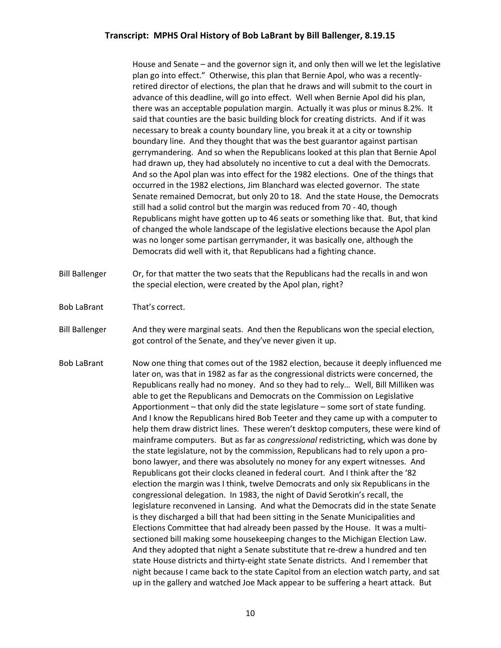House and Senate – and the governor sign it, and only then will we let the legislative plan go into effect." Otherwise, this plan that Bernie Apol, who was a recentlyretired director of elections, the plan that he draws and will submit to the court in advance of this deadline, will go into effect. Well when Bernie Apol did his plan, there was an acceptable population margin. Actually it was plus or minus 8.2%. It said that counties are the basic building block for creating districts. And if it was necessary to break a county boundary line, you break it at a city or township boundary line. And they thought that was the best guarantor against partisan gerrymandering. And so when the Republicans looked at this plan that Bernie Apol had drawn up, they had absolutely no incentive to cut a deal with the Democrats. And so the Apol plan was into effect for the 1982 elections. One of the things that occurred in the 1982 elections, Jim Blanchard was elected governor. The state Senate remained Democrat, but only 20 to 18. And the state House, the Democrats still had a solid control but the margin was reduced from 70 - 40, though Republicans might have gotten up to 46 seats or something like that. But, that kind of changed the whole landscape of the legislative elections because the Apol plan was no longer some partisan gerrymander, it was basically one, although the Democrats did well with it, that Republicans had a fighting chance.

Bill Ballenger Or, for that matter the two seats that the Republicans had the recalls in and won the special election, were created by the Apol plan, right?

Bob LaBrant That's correct.

- Bill Ballenger And they were marginal seats. And then the Republicans won the special election, got control of the Senate, and they've never given it up.
- Bob LaBrant Now one thing that comes out of the 1982 election, because it deeply influenced me later on, was that in 1982 as far as the congressional districts were concerned, the Republicans really had no money. And so they had to rely… Well, Bill Milliken was able to get the Republicans and Democrats on the Commission on Legislative Apportionment – that only did the state legislature – some sort of state funding. And I know the Republicans hired Bob Teeter and they came up with a computer to help them draw district lines. These weren't desktop computers, these were kind of mainframe computers. But as far as *congressional* redistricting, which was done by the state legislature, not by the commission, Republicans had to rely upon a probono lawyer, and there was absolutely no money for any expert witnesses. And Republicans got their clocks cleaned in federal court. And I think after the '82 election the margin was I think, twelve Democrats and only six Republicans in the congressional delegation. In 1983, the night of David Serotkin's recall, the legislature reconvened in Lansing. And what the Democrats did in the state Senate is they discharged a bill that had been sitting in the Senate Municipalities and Elections Committee that had already been passed by the House. It was a multisectioned bill making some housekeeping changes to the Michigan Election Law. And they adopted that night a Senate substitute that re-drew a hundred and ten state House districts and thirty-eight state Senate districts. And I remember that night because I came back to the state Capitol from an election watch party, and sat up in the gallery and watched Joe Mack appear to be suffering a heart attack. But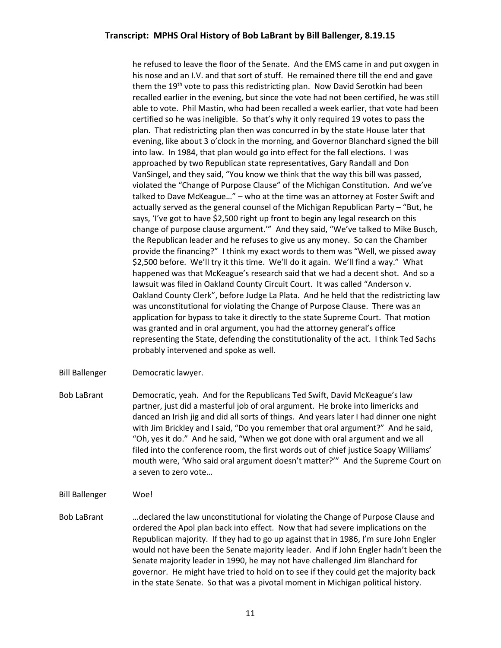he refused to leave the floor of the Senate. And the EMS came in and put oxygen in his nose and an I.V. and that sort of stuff. He remained there till the end and gave them the 19th vote to pass this redistricting plan. Now David Serotkin had been recalled earlier in the evening, but since the vote had not been certified, he was still able to vote. Phil Mastin, who had been recalled a week earlier, that vote had been certified so he was ineligible. So that's why it only required 19 votes to pass the plan. That redistricting plan then was concurred in by the state House later that evening, like about 3 o'clock in the morning, and Governor Blanchard signed the bill into law. In 1984, that plan would go into effect for the fall elections. I was approached by two Republican state representatives, Gary Randall and Don VanSingel, and they said, "You know we think that the way this bill was passed, violated the "Change of Purpose Clause" of the Michigan Constitution. And we've talked to Dave McKeague…" – who at the time was an attorney at Foster Swift and actually served as the general counsel of the Michigan Republican Party – "But, he says, 'I've got to have \$2,500 right up front to begin any legal research on this change of purpose clause argument.'" And they said, "We've talked to Mike Busch, the Republican leader and he refuses to give us any money. So can the Chamber provide the financing?" I think my exact words to them was "Well, we pissed away \$2,500 before. We'll try it this time. We'll do it again. We'll find a way." What happened was that McKeague's research said that we had a decent shot. And so a lawsuit was filed in Oakland County Circuit Court. It was called "Anderson v. Oakland County Clerk", before Judge La Plata. And he held that the redistricting law was unconstitutional for violating the Change of Purpose Clause. There was an application for bypass to take it directly to the state Supreme Court. That motion was granted and in oral argument, you had the attorney general's office representing the State, defending the constitutionality of the act. I think Ted Sachs probably intervened and spoke as well.

- Bill Ballenger Democratic lawyer.
- Bob LaBrant Democratic, yeah. And for the Republicans Ted Swift, David McKeague's law partner, just did a masterful job of oral argument. He broke into limericks and danced an Irish jig and did all sorts of things. And years later I had dinner one night with Jim Brickley and I said, "Do you remember that oral argument?" And he said, "Oh, yes it do." And he said, "When we got done with oral argument and we all filed into the conference room, the first words out of chief justice Soapy Williams' mouth were, 'Who said oral argument doesn't matter?'" And the Supreme Court on a seven to zero vote…
- Bill Ballenger Woe!
- Bob LaBrant …declared the law unconstitutional for violating the Change of Purpose Clause and ordered the Apol plan back into effect. Now that had severe implications on the Republican majority. If they had to go up against that in 1986, I'm sure John Engler would not have been the Senate majority leader. And if John Engler hadn't been the Senate majority leader in 1990, he may not have challenged Jim Blanchard for governor. He might have tried to hold on to see if they could get the majority back in the state Senate. So that was a pivotal moment in Michigan political history.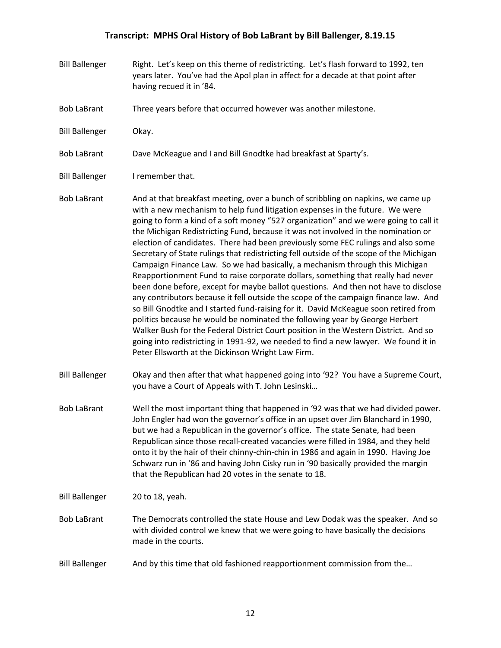- Bill Ballenger Right. Let's keep on this theme of redistricting. Let's flash forward to 1992, ten years later. You've had the Apol plan in affect for a decade at that point after having recued it in '84.
- Bob LaBrant Three years before that occurred however was another milestone.
- Bill Ballenger Okay.
- Bob LaBrant Dave McKeague and I and Bill Gnodtke had breakfast at Sparty's.
- Bill Ballenger I remember that.
- Bob LaBrant And at that breakfast meeting, over a bunch of scribbling on napkins, we came up with a new mechanism to help fund litigation expenses in the future. We were going to form a kind of a soft money "527 organization" and we were going to call it the Michigan Redistricting Fund, because it was not involved in the nomination or election of candidates. There had been previously some FEC rulings and also some Secretary of State rulings that redistricting fell outside of the scope of the Michigan Campaign Finance Law. So we had basically, a mechanism through this Michigan Reapportionment Fund to raise corporate dollars, something that really had never been done before, except for maybe ballot questions. And then not have to disclose any contributors because it fell outside the scope of the campaign finance law. And so Bill Gnodtke and I started fund-raising for it. David McKeague soon retired from politics because he would be nominated the following year by George Herbert Walker Bush for the Federal District Court position in the Western District. And so going into redistricting in 1991-92, we needed to find a new lawyer. We found it in Peter Ellsworth at the Dickinson Wright Law Firm.
- Bill Ballenger Okay and then after that what happened going into '92? You have a Supreme Court, you have a Court of Appeals with T. John Lesinski…
- Bob LaBrant Well the most important thing that happened in '92 was that we had divided power. John Engler had won the governor's office in an upset over Jim Blanchard in 1990, but we had a Republican in the governor's office. The state Senate, had been Republican since those recall-created vacancies were filled in 1984, and they held onto it by the hair of their chinny-chin-chin in 1986 and again in 1990. Having Joe Schwarz run in '86 and having John Cisky run in '90 basically provided the margin that the Republican had 20 votes in the senate to 18.

Bill Ballenger 20 to 18, yeah.

- Bob LaBrant The Democrats controlled the state House and Lew Dodak was the speaker. And so with divided control we knew that we were going to have basically the decisions made in the courts.
- Bill Ballenger And by this time that old fashioned reapportionment commission from the...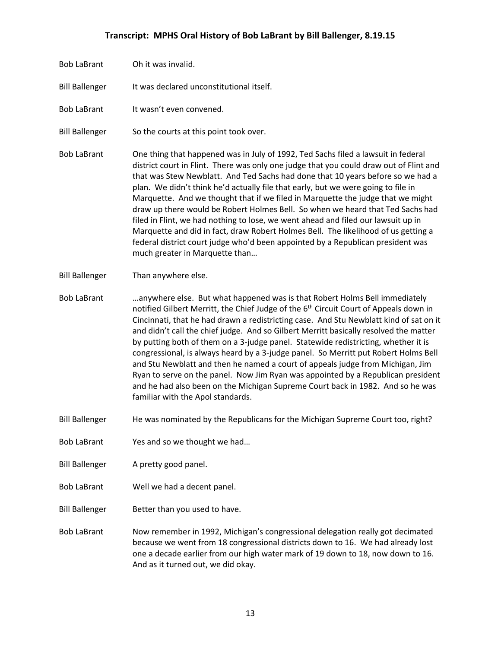- Bob LaBrant Oh it was invalid.
- Bill Ballenger It was declared unconstitutional itself.
- Bob LaBrant It wasn't even convened.
- Bill Ballenger So the courts at this point took over.

Bob LaBrant One thing that happened was in July of 1992, Ted Sachs filed a lawsuit in federal district court in Flint. There was only one judge that you could draw out of Flint and that was Stew Newblatt. And Ted Sachs had done that 10 years before so we had a plan. We didn't think he'd actually file that early, but we were going to file in Marquette. And we thought that if we filed in Marquette the judge that we might draw up there would be Robert Holmes Bell. So when we heard that Ted Sachs had filed in Flint, we had nothing to lose, we went ahead and filed our lawsuit up in Marquette and did in fact, draw Robert Holmes Bell. The likelihood of us getting a federal district court judge who'd been appointed by a Republican president was much greater in Marquette than…

- Bill Ballenger Than anywhere else.
- Bob LaBrant …anywhere else. But what happened was is that Robert Holms Bell immediately notified Gilbert Merritt, the Chief Judge of the 6<sup>th</sup> Circuit Court of Appeals down in Cincinnati, that he had drawn a redistricting case. And Stu Newblatt kind of sat on it and didn't call the chief judge. And so Gilbert Merritt basically resolved the matter by putting both of them on a 3-judge panel. Statewide redistricting, whether it is congressional, is always heard by a 3-judge panel. So Merritt put Robert Holms Bell and Stu Newblatt and then he named a court of appeals judge from Michigan, Jim Ryan to serve on the panel. Now Jim Ryan was appointed by a Republican president and he had also been on the Michigan Supreme Court back in 1982. And so he was familiar with the Apol standards.
- Bill Ballenger He was nominated by the Republicans for the Michigan Supreme Court too, right?
- Bob LaBrant Yes and so we thought we had…
- Bill Ballenger A pretty good panel.
- Bob LaBrant Well we had a decent panel.
- Bill Ballenger Better than you used to have.
- Bob LaBrant Now remember in 1992, Michigan's congressional delegation really got decimated because we went from 18 congressional districts down to 16. We had already lost one a decade earlier from our high water mark of 19 down to 18, now down to 16. And as it turned out, we did okay.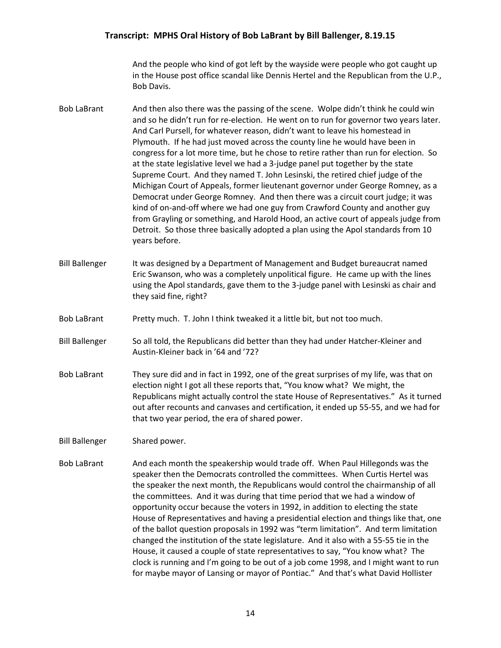And the people who kind of got left by the wayside were people who got caught up in the House post office scandal like Dennis Hertel and the Republican from the U.P., Bob Davis.

- Bob LaBrant And then also there was the passing of the scene. Wolpe didn't think he could win and so he didn't run for re-election. He went on to run for governor two years later. And Carl Pursell, for whatever reason, didn't want to leave his homestead in Plymouth. If he had just moved across the county line he would have been in congress for a lot more time, but he chose to retire rather than run for election. So at the state legislative level we had a 3-judge panel put together by the state Supreme Court. And they named T. John Lesinski, the retired chief judge of the Michigan Court of Appeals, former lieutenant governor under George Romney, as a Democrat under George Romney. And then there was a circuit court judge; it was kind of on-and-off where we had one guy from Crawford County and another guy from Grayling or something, and Harold Hood, an active court of appeals judge from Detroit. So those three basically adopted a plan using the Apol standards from 10 years before.
- Bill Ballenger It was designed by a Department of Management and Budget bureaucrat named Eric Swanson, who was a completely unpolitical figure. He came up with the lines using the Apol standards, gave them to the 3-judge panel with Lesinski as chair and they said fine, right?
- Bob LaBrant Pretty much. T. John I think tweaked it a little bit, but not too much.
- Bill Ballenger So all told, the Republicans did better than they had under Hatcher-Kleiner and Austin-Kleiner back in '64 and '72?
- Bob LaBrant They sure did and in fact in 1992, one of the great surprises of my life, was that on election night I got all these reports that, "You know what? We might, the Republicans might actually control the state House of Representatives." As it turned out after recounts and canvases and certification, it ended up 55-55, and we had for that two year period, the era of shared power.

Bill Ballenger Shared power.

Bob LaBrant And each month the speakership would trade off. When Paul Hillegonds was the speaker then the Democrats controlled the committees. When Curtis Hertel was the speaker the next month, the Republicans would control the chairmanship of all the committees. And it was during that time period that we had a window of opportunity occur because the voters in 1992, in addition to electing the state House of Representatives and having a presidential election and things like that, one of the ballot question proposals in 1992 was "term limitation". And term limitation changed the institution of the state legislature. And it also with a 55-55 tie in the House, it caused a couple of state representatives to say, "You know what? The clock is running and I'm going to be out of a job come 1998, and I might want to run for maybe mayor of Lansing or mayor of Pontiac." And that's what David Hollister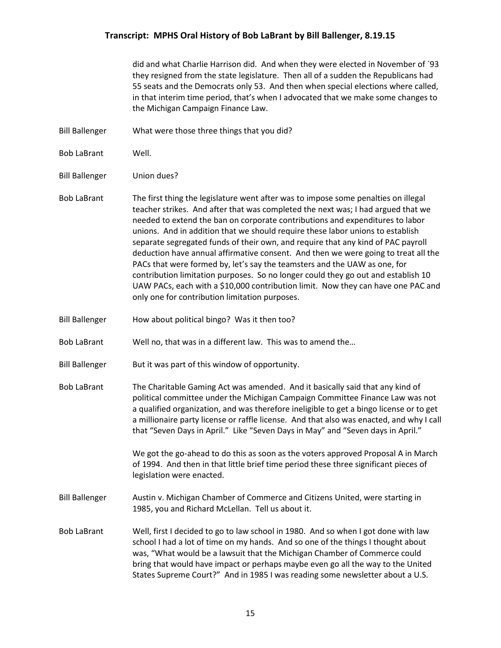did and what Charlie Harrison did. And when they were elected in November of `93 they resigned from the state legislature. Then all of a sudden the Republicans had 55 seats and the Democrats only 53. And then when special elections where called, in that interim time period, that's when I advocated that we make some changes to the Michigan Campaign Finance Law.

- Bill Ballenger What were those three things that you did?
- Bob LaBrant Well.
- Bill Ballenger Union dues?
- Bob LaBrant The first thing the legislature went after was to impose some penalties on illegal teacher strikes. And after that was completed the next was; I had argued that we needed to extend the ban on corporate contributions and expenditures to labor unions. And in addition that we should require these labor unions to establish separate segregated funds of their own, and require that any kind of PAC payroll deduction have annual affirmative consent. And then we were going to treat all the PACs that were formed by, let's say the teamsters and the UAW as one, for contribution limitation purposes. So no longer could they go out and establish 10 UAW PACs, each with a \$10,000 contribution limit. Now they can have one PAC and only one for contribution limitation purposes.
- Bill Ballenger How about political bingo? Was it then too?
- Bob LaBrant Well no, that was in a different law. This was to amend the…
- Bill Ballenger But it was part of this window of opportunity.
- Bob LaBrant The Charitable Gaming Act was amended. And it basically said that any kind of political committee under the Michigan Campaign Committee Finance Law was not a qualified organization, and was therefore ineligible to get a bingo license or to get a millionaire party license or raffle license. And that also was enacted, and why I call that "Seven Days in April." Like "Seven Days in May" and "Seven days in April."

We got the go-ahead to do this as soon as the voters approved Proposal A in March of 1994. And then in that little brief time period these three significant pieces of legislation were enacted.

- Bill Ballenger Austin v. Michigan Chamber of Commerce and Citizens United, were starting in 1985, you and Richard McLellan. Tell us about it.
- Bob LaBrant Well, first I decided to go to law school in 1980. And so when I got done with law school I had a lot of time on my hands. And so one of the things I thought about was, "What would be a lawsuit that the Michigan Chamber of Commerce could bring that would have impact or perhaps maybe even go all the way to the United States Supreme Court?" And in 1985 I was reading some newsletter about a U.S.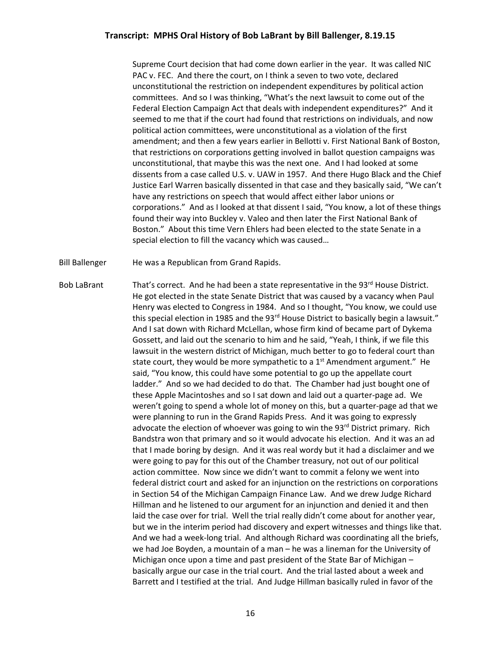Supreme Court decision that had come down earlier in the year. It was called NIC PAC v. FEC. And there the court, on I think a seven to two vote, declared unconstitutional the restriction on independent expenditures by political action committees. And so I was thinking, "What's the next lawsuit to come out of the Federal Election Campaign Act that deals with independent expenditures?" And it seemed to me that if the court had found that restrictions on individuals, and now political action committees, were unconstitutional as a violation of the first amendment; and then a few years earlier in Bellotti v. First National Bank of Boston, that restrictions on corporations getting involved in ballot question campaigns was unconstitutional, that maybe this was the next one. And I had looked at some dissents from a case called U.S. v. UAW in 1957. And there Hugo Black and the Chief Justice Earl Warren basically dissented in that case and they basically said, "We can't have any restrictions on speech that would affect either labor unions or corporations." And as I looked at that dissent I said, "You know, a lot of these things found their way into Buckley v. Valeo and then later the First National Bank of Boston." About this time Vern Ehlers had been elected to the state Senate in a special election to fill the vacancy which was caused…

Bill Ballenger He was a Republican from Grand Rapids.

Bob LaBrant That's correct. And he had been a state representative in the  $93<sup>rd</sup>$  House District. He got elected in the state Senate District that was caused by a vacancy when Paul Henry was elected to Congress in 1984. And so I thought, "You know, we could use this special election in 1985 and the 93<sup>rd</sup> House District to basically begin a lawsuit." And I sat down with Richard McLellan, whose firm kind of became part of Dykema Gossett, and laid out the scenario to him and he said, "Yeah, I think, if we file this lawsuit in the western district of Michigan, much better to go to federal court than state court, they would be more sympathetic to a  $1<sup>st</sup>$  Amendment argument." He said, "You know, this could have some potential to go up the appellate court ladder." And so we had decided to do that. The Chamber had just bought one of these Apple Macintoshes and so I sat down and laid out a quarter-page ad. We weren't going to spend a whole lot of money on this, but a quarter-page ad that we were planning to run in the Grand Rapids Press. And it was going to expressly advocate the election of whoever was going to win the 93<sup>rd</sup> District primary. Rich Bandstra won that primary and so it would advocate his election. And it was an ad that I made boring by design. And it was real wordy but it had a disclaimer and we were going to pay for this out of the Chamber treasury, not out of our political action committee. Now since we didn't want to commit a felony we went into federal district court and asked for an injunction on the restrictions on corporations in Section 54 of the Michigan Campaign Finance Law. And we drew Judge Richard Hillman and he listened to our argument for an injunction and denied it and then laid the case over for trial. Well the trial really didn't come about for another year, but we in the interim period had discovery and expert witnesses and things like that. And we had a week-long trial. And although Richard was coordinating all the briefs, we had Joe Boyden, a mountain of a man – he was a lineman for the University of Michigan once upon a time and past president of the State Bar of Michigan – basically argue our case in the trial court. And the trial lasted about a week and Barrett and I testified at the trial. And Judge Hillman basically ruled in favor of the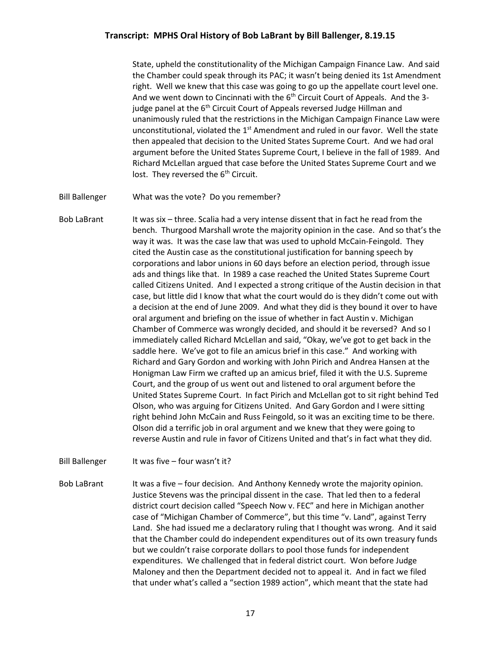State, upheld the constitutionality of the Michigan Campaign Finance Law. And said the Chamber could speak through its PAC; it wasn't being denied its 1st Amendment right. Well we knew that this case was going to go up the appellate court level one. And we went down to Cincinnati with the  $6<sup>th</sup>$  Circuit Court of Appeals. And the 3judge panel at the  $6<sup>th</sup>$  Circuit Court of Appeals reversed Judge Hillman and unanimously ruled that the restrictions in the Michigan Campaign Finance Law were unconstitutional, violated the 1<sup>st</sup> Amendment and ruled in our favor. Well the state then appealed that decision to the United States Supreme Court. And we had oral argument before the United States Supreme Court, I believe in the fall of 1989. And Richard McLellan argued that case before the United States Supreme Court and we lost. They reversed the  $6<sup>th</sup>$  Circuit.

Bill Ballenger What was the vote? Do you remember?

Bob LaBrant It was six – three. Scalia had a very intense dissent that in fact he read from the bench. Thurgood Marshall wrote the majority opinion in the case. And so that's the way it was. It was the case law that was used to uphold McCain-Feingold. They cited the Austin case as the constitutional justification for banning speech by corporations and labor unions in 60 days before an election period, through issue ads and things like that. In 1989 a case reached the United States Supreme Court called Citizens United. And I expected a strong critique of the Austin decision in that case, but little did I know that what the court would do is they didn't come out with a decision at the end of June 2009. And what they did is they bound it over to have oral argument and briefing on the issue of whether in fact Austin v. Michigan Chamber of Commerce was wrongly decided, and should it be reversed? And so I immediately called Richard McLellan and said, "Okay, we've got to get back in the saddle here. We've got to file an amicus brief in this case." And working with Richard and Gary Gordon and working with John Pirich and Andrea Hansen at the Honigman Law Firm we crafted up an amicus brief, filed it with the U.S. Supreme Court, and the group of us went out and listened to oral argument before the United States Supreme Court. In fact Pirich and McLellan got to sit right behind Ted Olson, who was arguing for Citizens United. And Gary Gordon and I were sitting right behind John McCain and Russ Feingold, so it was an exciting time to be there. Olson did a terrific job in oral argument and we knew that they were going to reverse Austin and rule in favor of Citizens United and that's in fact what they did.

Bill Ballenger It was five – four wasn't it?

Bob LaBrant It was a five – four decision. And Anthony Kennedy wrote the majority opinion. Justice Stevens was the principal dissent in the case. That led then to a federal district court decision called "Speech Now v. FEC" and here in Michigan another case of "Michigan Chamber of Commerce", but this time "v. Land", against Terry Land. She had issued me a declaratory ruling that I thought was wrong. And it said that the Chamber could do independent expenditures out of its own treasury funds but we couldn't raise corporate dollars to pool those funds for independent expenditures. We challenged that in federal district court. Won before Judge Maloney and then the Department decided not to appeal it. And in fact we filed that under what's called a "section 1989 action", which meant that the state had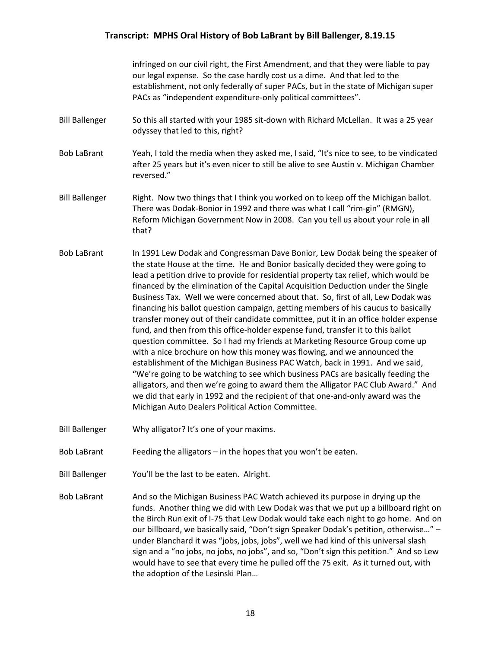infringed on our civil right, the First Amendment, and that they were liable to pay our legal expense. So the case hardly cost us a dime. And that led to the establishment, not only federally of super PACs, but in the state of Michigan super PACs as "independent expenditure-only political committees".

- Bill Ballenger So this all started with your 1985 sit-down with Richard McLellan. It was a 25 year odyssey that led to this, right?
- Bob LaBrant Yeah, I told the media when they asked me, I said, "It's nice to see, to be vindicated after 25 years but it's even nicer to still be alive to see Austin v. Michigan Chamber reversed."
- Bill Ballenger Right. Now two things that I think you worked on to keep off the Michigan ballot. There was Dodak-Bonior in 1992 and there was what I call "rim-gin" (RMGN), Reform Michigan Government Now in 2008. Can you tell us about your role in all that?
- Bob LaBrant In 1991 Lew Dodak and Congressman Dave Bonior, Lew Dodak being the speaker of the state House at the time. He and Bonior basically decided they were going to lead a petition drive to provide for residential property tax relief, which would be financed by the elimination of the Capital Acquisition Deduction under the Single Business Tax. Well we were concerned about that. So, first of all, Lew Dodak was financing his ballot question campaign, getting members of his caucus to basically transfer money out of their candidate committee, put it in an office holder expense fund, and then from this office-holder expense fund, transfer it to this ballot question committee. So I had my friends at Marketing Resource Group come up with a nice brochure on how this money was flowing, and we announced the establishment of the Michigan Business PAC Watch, back in 1991. And we said, "We're going to be watching to see which business PACs are basically feeding the alligators, and then we're going to award them the Alligator PAC Club Award." And we did that early in 1992 and the recipient of that one-and-only award was the Michigan Auto Dealers Political Action Committee.
- Bill Ballenger Why alligator? It's one of your maxims.
- Bob LaBrant Feeding the alligators in the hopes that you won't be eaten.
- Bill Ballenger You'll be the last to be eaten. Alright.
- Bob LaBrant And so the Michigan Business PAC Watch achieved its purpose in drying up the funds. Another thing we did with Lew Dodak was that we put up a billboard right on the Birch Run exit of I-75 that Lew Dodak would take each night to go home. And on our billboard, we basically said, "Don't sign Speaker Dodak's petition, otherwise…" – under Blanchard it was "jobs, jobs, jobs", well we had kind of this universal slash sign and a "no jobs, no jobs, no jobs", and so, "Don't sign this petition." And so Lew would have to see that every time he pulled off the 75 exit. As it turned out, with the adoption of the Lesinski Plan…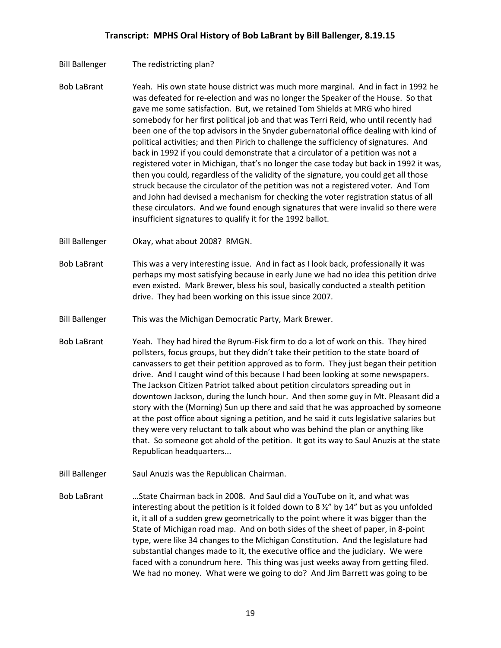Bill Ballenger The redistricting plan?

- Bob LaBrant Yeah. His own state house district was much more marginal. And in fact in 1992 he was defeated for re-election and was no longer the Speaker of the House. So that gave me some satisfaction. But, we retained Tom Shields at MRG who hired somebody for her first political job and that was Terri Reid, who until recently had been one of the top advisors in the Snyder gubernatorial office dealing with kind of political activities; and then Pirich to challenge the sufficiency of signatures. And back in 1992 if you could demonstrate that a circulator of a petition was not a registered voter in Michigan, that's no longer the case today but back in 1992 it was, then you could, regardless of the validity of the signature, you could get all those struck because the circulator of the petition was not a registered voter. And Tom and John had devised a mechanism for checking the voter registration status of all these circulators. And we found enough signatures that were invalid so there were insufficient signatures to qualify it for the 1992 ballot.
- Bill Ballenger Okay, what about 2008? RMGN.
- Bob LaBrant This was a very interesting issue. And in fact as I look back, professionally it was perhaps my most satisfying because in early June we had no idea this petition drive even existed. Mark Brewer, bless his soul, basically conducted a stealth petition drive. They had been working on this issue since 2007.
- Bill Ballenger This was the Michigan Democratic Party, Mark Brewer.
- Bob LaBrant Yeah. They had hired the Byrum-Fisk firm to do a lot of work on this. They hired pollsters, focus groups, but they didn't take their petition to the state board of canvassers to get their petition approved as to form. They just began their petition drive. And I caught wind of this because I had been looking at some newspapers. The Jackson Citizen Patriot talked about petition circulators spreading out in downtown Jackson, during the lunch hour. And then some guy in Mt. Pleasant did a story with the (Morning) Sun up there and said that he was approached by someone at the post office about signing a petition, and he said it cuts legislative salaries but they were very reluctant to talk about who was behind the plan or anything like that. So someone got ahold of the petition. It got its way to Saul Anuzis at the state Republican headquarters...
- Bill Ballenger Saul Anuzis was the Republican Chairman.
- Bob LaBrant …State Chairman back in 2008. And Saul did a YouTube on it, and what was interesting about the petition is it folded down to 8  $\frac{1}{2}$ " by 14" but as you unfolded it, it all of a sudden grew geometrically to the point where it was bigger than the State of Michigan road map. And on both sides of the sheet of paper, in 8-point type, were like 34 changes to the Michigan Constitution. And the legislature had substantial changes made to it, the executive office and the judiciary. We were faced with a conundrum here. This thing was just weeks away from getting filed. We had no money. What were we going to do? And Jim Barrett was going to be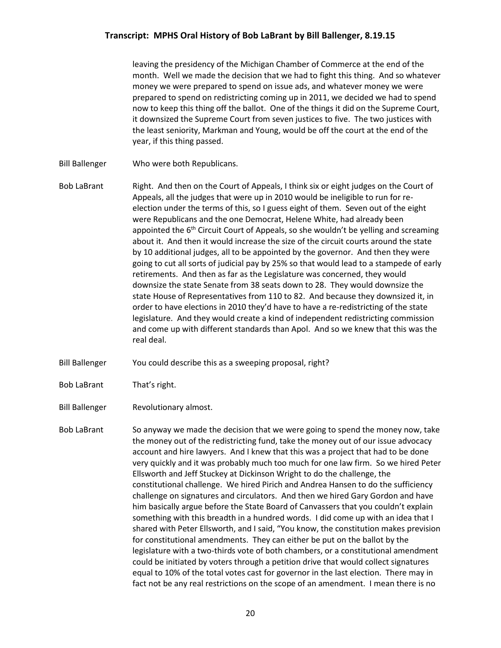leaving the presidency of the Michigan Chamber of Commerce at the end of the month. Well we made the decision that we had to fight this thing. And so whatever money we were prepared to spend on issue ads, and whatever money we were prepared to spend on redistricting coming up in 2011, we decided we had to spend now to keep this thing off the ballot. One of the things it did on the Supreme Court, it downsized the Supreme Court from seven justices to five. The two justices with the least seniority, Markman and Young, would be off the court at the end of the year, if this thing passed.

- Bill Ballenger Who were both Republicans.
- Bob LaBrant Right. And then on the Court of Appeals, I think six or eight judges on the Court of Appeals, all the judges that were up in 2010 would be ineligible to run for reelection under the terms of this, so I guess eight of them. Seven out of the eight were Republicans and the one Democrat, Helene White, had already been appointed the  $6<sup>th</sup>$  Circuit Court of Appeals, so she wouldn't be yelling and screaming about it. And then it would increase the size of the circuit courts around the state by 10 additional judges, all to be appointed by the governor. And then they were going to cut all sorts of judicial pay by 25% so that would lead to a stampede of early retirements. And then as far as the Legislature was concerned, they would downsize the state Senate from 38 seats down to 28. They would downsize the state House of Representatives from 110 to 82. And because they downsized it, in order to have elections in 2010 they'd have to have a re-redistricting of the state legislature. And they would create a kind of independent redistricting commission and come up with different standards than Apol. And so we knew that this was the real deal.
- Bill Ballenger You could describe this as a sweeping proposal, right?
- Bob LaBrant That's right.
- Bill Ballenger Revolutionary almost.

Bob LaBrant So anyway we made the decision that we were going to spend the money now, take the money out of the redistricting fund, take the money out of our issue advocacy account and hire lawyers. And I knew that this was a project that had to be done very quickly and it was probably much too much for one law firm. So we hired Peter Ellsworth and Jeff Stuckey at Dickinson Wright to do the challenge, the constitutional challenge. We hired Pirich and Andrea Hansen to do the sufficiency challenge on signatures and circulators. And then we hired Gary Gordon and have him basically argue before the State Board of Canvassers that you couldn't explain something with this breadth in a hundred words. I did come up with an idea that I shared with Peter Ellsworth, and I said, "You know, the constitution makes prevision for constitutional amendments. They can either be put on the ballot by the legislature with a two-thirds vote of both chambers, or a constitutional amendment could be initiated by voters through a petition drive that would collect signatures equal to 10% of the total votes cast for governor in the last election. There may in fact not be any real restrictions on the scope of an amendment. I mean there is no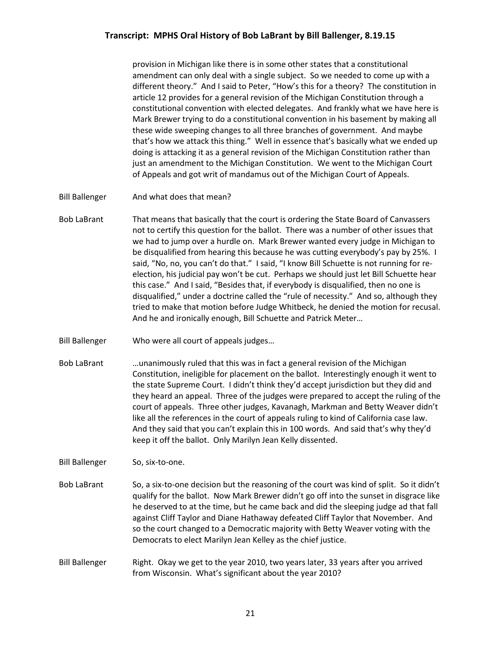provision in Michigan like there is in some other states that a constitutional amendment can only deal with a single subject. So we needed to come up with a different theory." And I said to Peter, "How's this for a theory? The constitution in article 12 provides for a general revision of the Michigan Constitution through a constitutional convention with elected delegates. And frankly what we have here is Mark Brewer trying to do a constitutional convention in his basement by making all these wide sweeping changes to all three branches of government. And maybe that's how we attack this thing." Well in essence that's basically what we ended up doing is attacking it as a general revision of the Michigan Constitution rather than just an amendment to the Michigan Constitution. We went to the Michigan Court of Appeals and got writ of mandamus out of the Michigan Court of Appeals.

- Bill Ballenger And what does that mean?
- Bob LaBrant That means that basically that the court is ordering the State Board of Canvassers not to certify this question for the ballot. There was a number of other issues that we had to jump over a hurdle on. Mark Brewer wanted every judge in Michigan to be disqualified from hearing this because he was cutting everybody's pay by 25%. I said, "No, no, you can't do that." I said, "I know Bill Schuette is not running for reelection, his judicial pay won't be cut. Perhaps we should just let Bill Schuette hear this case." And I said, "Besides that, if everybody is disqualified, then no one is disqualified," under a doctrine called the "rule of necessity." And so, although they tried to make that motion before Judge Whitbeck, he denied the motion for recusal. And he and ironically enough, Bill Schuette and Patrick Meter…
- Bill Ballenger Who were all court of appeals judges…
- Bob LaBrant …unanimously ruled that this was in fact a general revision of the Michigan Constitution, ineligible for placement on the ballot. Interestingly enough it went to the state Supreme Court. I didn't think they'd accept jurisdiction but they did and they heard an appeal. Three of the judges were prepared to accept the ruling of the court of appeals. Three other judges, Kavanagh, Markman and Betty Weaver didn't like all the references in the court of appeals ruling to kind of California case law. And they said that you can't explain this in 100 words. And said that's why they'd keep it off the ballot. Only Marilyn Jean Kelly dissented.

Bill Ballenger So, six-to-one.

Bob LaBrant So, a six-to-one decision but the reasoning of the court was kind of split. So it didn't qualify for the ballot. Now Mark Brewer didn't go off into the sunset in disgrace like he deserved to at the time, but he came back and did the sleeping judge ad that fall against Cliff Taylor and Diane Hathaway defeated Cliff Taylor that November. And so the court changed to a Democratic majority with Betty Weaver voting with the Democrats to elect Marilyn Jean Kelley as the chief justice.

Bill Ballenger Right. Okay we get to the year 2010, two years later, 33 years after you arrived from Wisconsin. What's significant about the year 2010?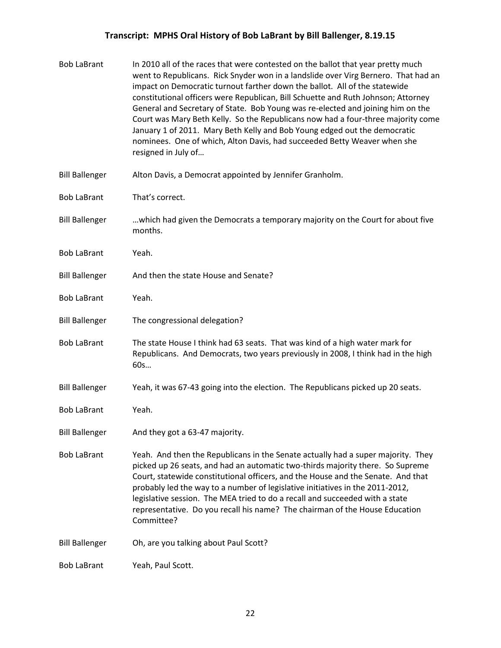| <b>Bob LaBrant</b>    | In 2010 all of the races that were contested on the ballot that year pretty much<br>went to Republicans. Rick Snyder won in a landslide over Virg Bernero. That had an<br>impact on Democratic turnout farther down the ballot. All of the statewide<br>constitutional officers were Republican, Bill Schuette and Ruth Johnson; Attorney<br>General and Secretary of State. Bob Young was re-elected and joining him on the<br>Court was Mary Beth Kelly. So the Republicans now had a four-three majority come<br>January 1 of 2011. Mary Beth Kelly and Bob Young edged out the democratic<br>nominees. One of which, Alton Davis, had succeeded Betty Weaver when she<br>resigned in July of |
|-----------------------|--------------------------------------------------------------------------------------------------------------------------------------------------------------------------------------------------------------------------------------------------------------------------------------------------------------------------------------------------------------------------------------------------------------------------------------------------------------------------------------------------------------------------------------------------------------------------------------------------------------------------------------------------------------------------------------------------|
| <b>Bill Ballenger</b> | Alton Davis, a Democrat appointed by Jennifer Granholm.                                                                                                                                                                                                                                                                                                                                                                                                                                                                                                                                                                                                                                          |
| <b>Bob LaBrant</b>    | That's correct.                                                                                                                                                                                                                                                                                                                                                                                                                                                                                                                                                                                                                                                                                  |
| <b>Bill Ballenger</b> | which had given the Democrats a temporary majority on the Court for about five<br>months.                                                                                                                                                                                                                                                                                                                                                                                                                                                                                                                                                                                                        |
| <b>Bob LaBrant</b>    | Yeah.                                                                                                                                                                                                                                                                                                                                                                                                                                                                                                                                                                                                                                                                                            |
| <b>Bill Ballenger</b> | And then the state House and Senate?                                                                                                                                                                                                                                                                                                                                                                                                                                                                                                                                                                                                                                                             |
| <b>Bob LaBrant</b>    | Yeah.                                                                                                                                                                                                                                                                                                                                                                                                                                                                                                                                                                                                                                                                                            |
| <b>Bill Ballenger</b> | The congressional delegation?                                                                                                                                                                                                                                                                                                                                                                                                                                                                                                                                                                                                                                                                    |
| <b>Bob LaBrant</b>    | The state House I think had 63 seats. That was kind of a high water mark for<br>Republicans. And Democrats, two years previously in 2008, I think had in the high<br>60s                                                                                                                                                                                                                                                                                                                                                                                                                                                                                                                         |
| <b>Bill Ballenger</b> | Yeah, it was 67-43 going into the election. The Republicans picked up 20 seats.                                                                                                                                                                                                                                                                                                                                                                                                                                                                                                                                                                                                                  |
| <b>Bob LaBrant</b>    | Yeah.                                                                                                                                                                                                                                                                                                                                                                                                                                                                                                                                                                                                                                                                                            |
| <b>Bill Ballenger</b> | And they got a 63-47 majority.                                                                                                                                                                                                                                                                                                                                                                                                                                                                                                                                                                                                                                                                   |
| <b>Bob LaBrant</b>    | Yeah. And then the Republicans in the Senate actually had a super majority. They<br>picked up 26 seats, and had an automatic two-thirds majority there. So Supreme<br>Court, statewide constitutional officers, and the House and the Senate. And that<br>probably led the way to a number of legislative initiatives in the 2011-2012,<br>legislative session. The MEA tried to do a recall and succeeded with a state<br>representative. Do you recall his name? The chairman of the House Education<br>Committee?                                                                                                                                                                             |
| <b>Bill Ballenger</b> | Oh, are you talking about Paul Scott?                                                                                                                                                                                                                                                                                                                                                                                                                                                                                                                                                                                                                                                            |
| <b>Bob LaBrant</b>    | Yeah, Paul Scott.                                                                                                                                                                                                                                                                                                                                                                                                                                                                                                                                                                                                                                                                                |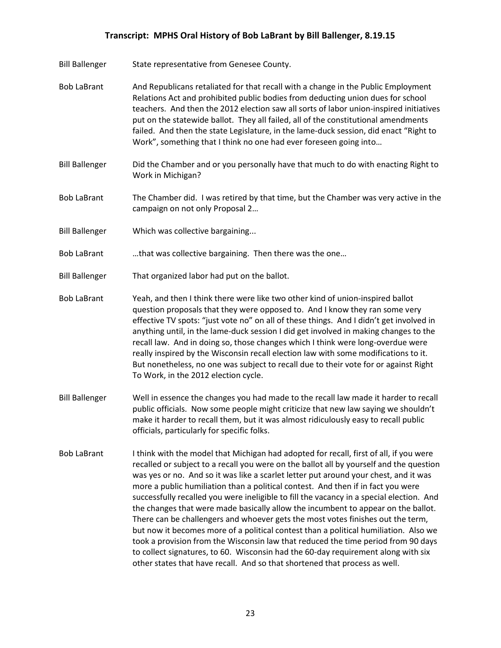- Bill Ballenger State representative from Genesee County.
- Bob LaBrant And Republicans retaliated for that recall with a change in the Public Employment Relations Act and prohibited public bodies from deducting union dues for school teachers. And then the 2012 election saw all sorts of labor union-inspired initiatives put on the statewide ballot. They all failed, all of the constitutional amendments failed. And then the state Legislature, in the lame-duck session, did enact "Right to Work", something that I think no one had ever foreseen going into…
- Bill Ballenger Did the Chamber and or you personally have that much to do with enacting Right to Work in Michigan?
- Bob LaBrant The Chamber did. I was retired by that time, but the Chamber was very active in the campaign on not only Proposal 2…
- Bill Ballenger Which was collective bargaining...
- Bob LaBrant …that was collective bargaining. Then there was the one…
- Bill Ballenger That organized labor had put on the ballot.
- Bob LaBrant Yeah, and then I think there were like two other kind of union-inspired ballot question proposals that they were opposed to. And I know they ran some very effective TV spots: "just vote no" on all of these things. And I didn't get involved in anything until, in the lame-duck session I did get involved in making changes to the recall law. And in doing so, those changes which I think were long-overdue were really inspired by the Wisconsin recall election law with some modifications to it. But nonetheless, no one was subject to recall due to their vote for or against Right To Work, in the 2012 election cycle.
- Bill Ballenger Well in essence the changes you had made to the recall law made it harder to recall public officials. Now some people might criticize that new law saying we shouldn't make it harder to recall them, but it was almost ridiculously easy to recall public officials, particularly for specific folks.
- Bob LaBrant I think with the model that Michigan had adopted for recall, first of all, if you were recalled or subject to a recall you were on the ballot all by yourself and the question was yes or no. And so it was like a scarlet letter put around your chest, and it was more a public humiliation than a political contest. And then if in fact you were successfully recalled you were ineligible to fill the vacancy in a special election. And the changes that were made basically allow the incumbent to appear on the ballot. There can be challengers and whoever gets the most votes finishes out the term, but now it becomes more of a political contest than a political humiliation. Also we took a provision from the Wisconsin law that reduced the time period from 90 days to collect signatures, to 60. Wisconsin had the 60-day requirement along with six other states that have recall. And so that shortened that process as well.